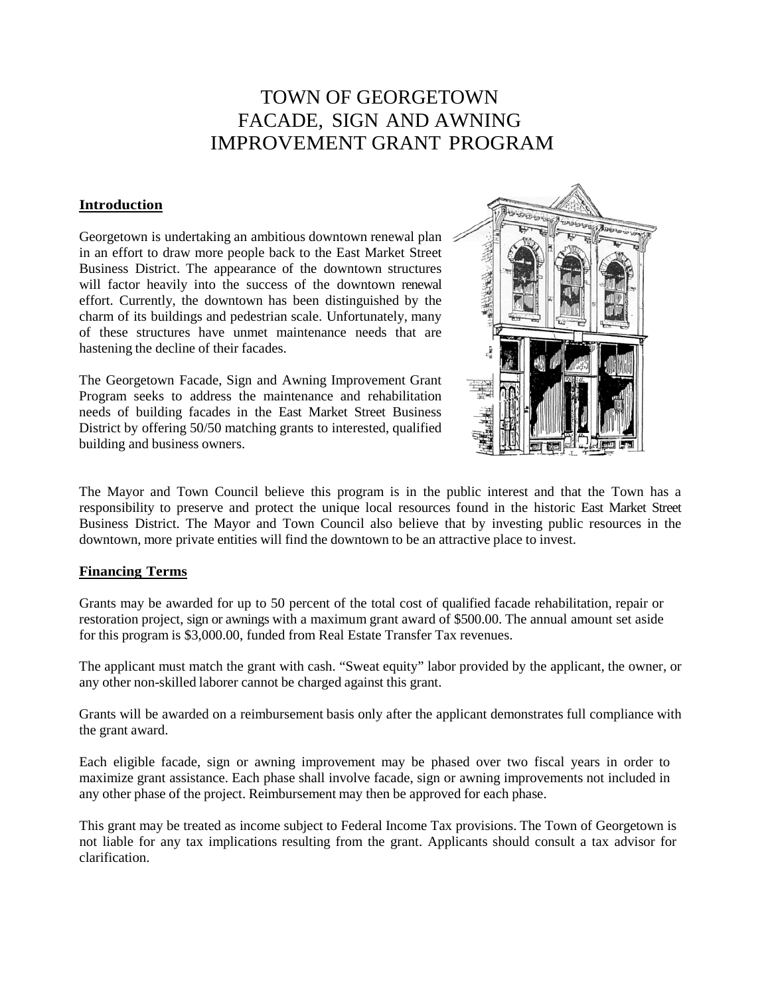# TOWN OF GEORGETOWN FACADE, SIGN AND AWNING IMPROVEMENT GRANT PROGRAM

# **Introduction**

Georgetown is undertaking an ambitious downtown renewal plan in an effort to draw more people back to the East Market Street Business District. The appearance of the downtown structures will factor heavily into the success of the downtown renewal effort. Currently, the downtown has been distinguished by the charm of its buildings and pedestrian scale. Unfortunately, many of these structures have unmet maintenance needs that are hastening the decline of their facades.

The Georgetown Facade, Sign and Awning Improvement Grant Program seeks to address the maintenance and rehabilitation needs of building facades in the East Market Street Business District by offering 50/50 matching grants to interested, qualified building and business owners.



The Mayor and Town Council believe this program is in the public interest and that the Town has a responsibility to preserve and protect the unique local resources found in the historic East Market Street Business District. The Mayor and Town Council also believe that by investing public resources in the downtown, more private entities will find the downtown to be an attractive place to invest.

#### **Financing Terms**

Grants may be awarded for up to 50 percent of the total cost of qualified facade rehabilitation, repair or restoration project, sign or awnings with a maximum grant award of \$500.00. The annual amount set aside for this program is \$3,000.00, funded from Real Estate Transfer Tax revenues.

The applicant must match the grant with cash. "Sweat equity" labor provided by the applicant, the owner, or any other non-skilled laborer cannot be charged against this grant.

Grants will be awarded on a reimbursement basis only after the applicant demonstrates full compliance with the grant award.

Each eligible facade, sign or awning improvement may be phased over two fiscal years in order to maximize grant assistance. Each phase shall involve facade, sign or awning improvements not included in any other phase of the project. Reimbursement may then be approved for each phase.

This grant may be treated as income subject to Federal Income Tax provisions. The Town of Georgetown is not liable for any tax implications resulting from the grant. Applicants should consult a tax advisor for clarification.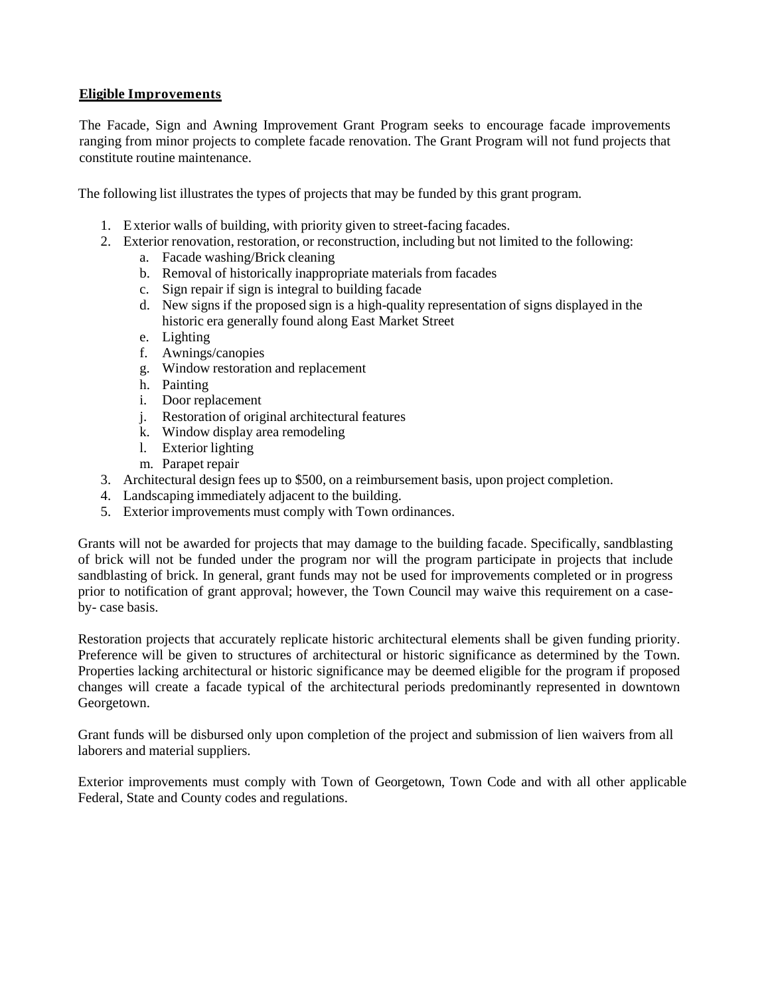# **Eligible Improvements**

The Facade, Sign and Awning Improvement Grant Program seeks to encourage facade improvements ranging from minor projects to complete facade renovation. The Grant Program will not fund projects that constitute routine maintenance.

The following list illustrates the types of projects that may be funded by this grant program.

- 1. Exterior walls of building, with priority given to street-facing facades.
- 2. Exterior renovation, restoration, or reconstruction, including but not limited to the following:
	- a. Facade washing/Brick cleaning
	- b. Removal of historically inappropriate materials from facades
	- c. Sign repair if sign is integral to building facade
	- d. New signs if the proposed sign is a high-quality representation of signs displayed in the historic era generally found along East Market Street
	- e. Lighting
	- f. Awnings/canopies
	- g. Window restoration and replacement
	- h. Painting
	- i. Door replacement
	- j. Restoration of original architectural features
	- k. Window display area remodeling
	- l. Exterior lighting
	- m. Parapet repair
- 3. Architectural design fees up to \$500, on a reimbursement basis, upon project completion.
- 4. Landscaping immediately adjacent to the building.
- 5. Exterior improvements must comply with Town ordinances.

Grants will not be awarded for projects that may damage to the building facade. Specifically, sandblasting of brick will not be funded under the program nor will the program participate in projects that include sandblasting of brick. In general, grant funds may not be used for improvements completed or in progress prior to notification of grant approval; however, the Town Council may waive this requirement on a caseby- case basis.

Restoration projects that accurately replicate historic architectural elements shall be given funding priority. Preference will be given to structures of architectural or historic significance as determined by the Town. Properties lacking architectural or historic significance may be deemed eligible for the program if proposed changes will create a facade typical of the architectural periods predominantly represented in downtown Georgetown.

Grant funds will be disbursed only upon completion of the project and submission of lien waivers from all laborers and material suppliers.

Exterior improvements must comply with Town of Georgetown, Town Code and with all other applicable Federal, State and County codes and regulations.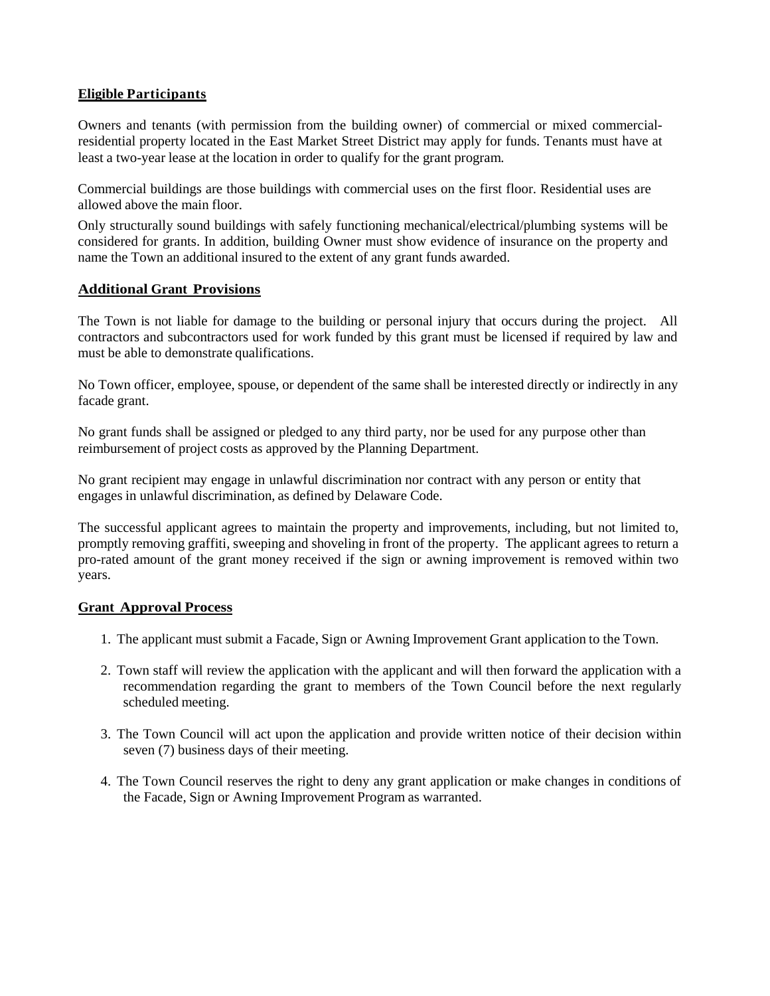# **Eligible Participants**

Owners and tenants (with permission from the building owner) of commercial or mixed commercialresidential property located in the East Market Street District may apply for funds. Tenants must have at least a two-year lease at the location in order to qualify for the grant program.

Commercial buildings are those buildings with commercial uses on the first floor. Residential uses are allowed above the main floor.

Only structurally sound buildings with safely functioning mechanical/electrical/plumbing systems will be considered for grants. In addition, building Owner must show evidence of insurance on the property and name the Town an additional insured to the extent of any grant funds awarded.

#### **Additional Grant Provisions**

The Town is not liable for damage to the building or personal injury that occurs during the project. All contractors and subcontractors used for work funded by this grant must be licensed if required by law and must be able to demonstrate qualifications.

No Town officer, employee, spouse, or dependent of the same shall be interested directly or indirectly in any facade grant.

No grant funds shall be assigned or pledged to any third party, nor be used for any purpose other than reimbursement of project costs as approved by the Planning Department.

No grant recipient may engage in unlawful discrimination nor contract with any person or entity that engages in unlawful discrimination, as defined by Delaware Code.

The successful applicant agrees to maintain the property and improvements, including, but not limited to, promptly removing graffiti, sweeping and shoveling in front of the property. The applicant agrees to return a pro-rated amount of the grant money received if the sign or awning improvement is removed within two years.

#### **Grant Approval Process**

- 1. The applicant must submit a Facade, Sign or Awning Improvement Grant application to the Town.
- 2. Town staff will review the application with the applicant and will then forward the application with a recommendation regarding the grant to members of the Town Council before the next regularly scheduled meeting.
- 3. The Town Council will act upon the application and provide written notice of their decision within seven (7) business days of their meeting.
- 4. The Town Council reserves the right to deny any grant application or make changes in conditions of the Facade, Sign or Awning Improvement Program as warranted.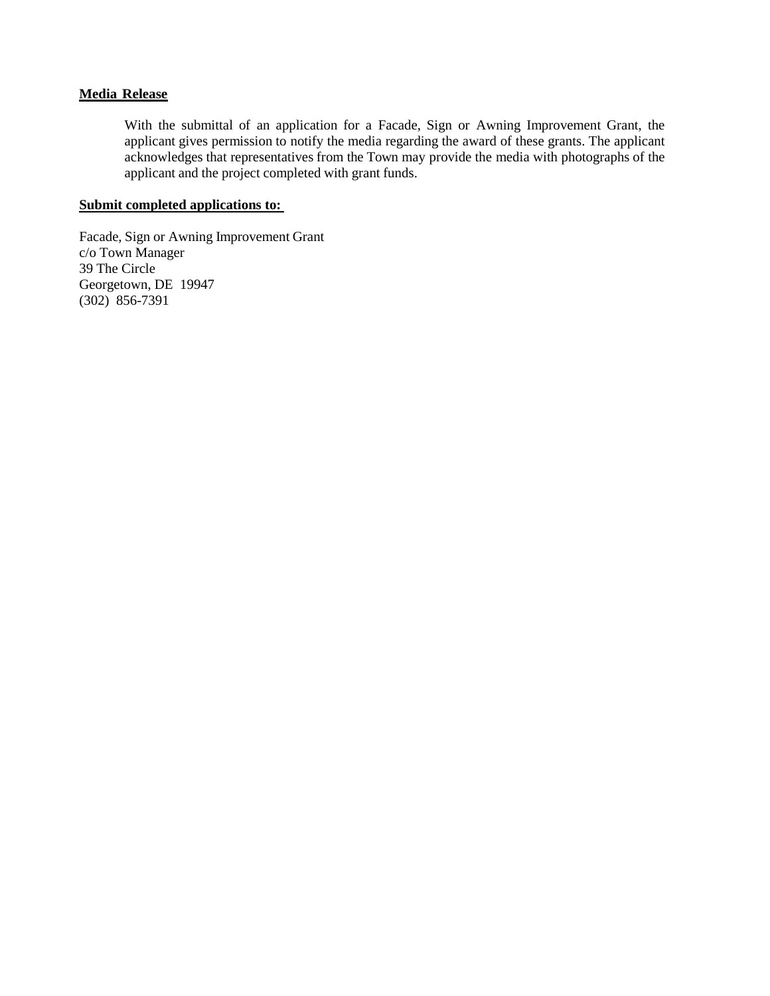#### **Media Release**

With the submittal of an application for a Facade, Sign or Awning Improvement Grant, the applicant gives permission to notify the media regarding the award of these grants. The applicant acknowledges that representatives from the Town may provide the media with photographs of the applicant and the project completed with grant funds.

#### **Submit completed applications to:**

Facade, Sign or Awning Improvement Grant c/o Town Manager 39 The Circle Georgetown, DE 19947 (302) 856-7391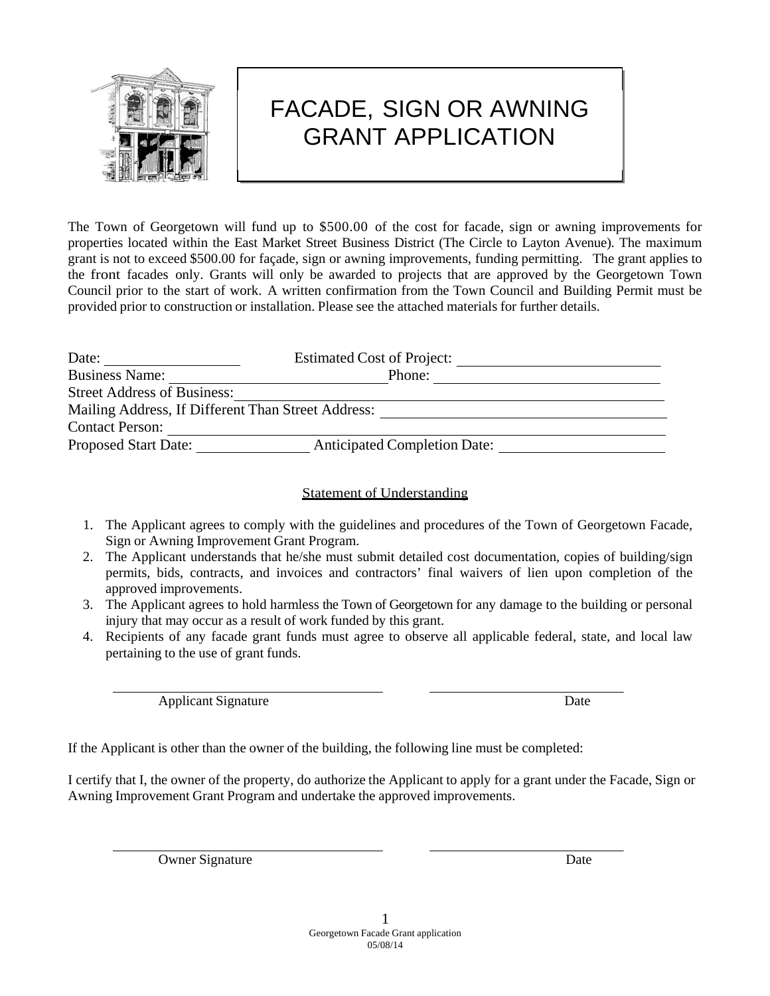

# FACADE, SIGN OR AWNING GRANT APPLICATION

The Town of Georgetown will fund up to \$500.00 of the cost for facade, sign or awning improvements for properties located within the East Market Street Business District (The Circle to Layton Avenue). The maximum grant is not to exceed \$500.00 for façade, sign or awning improvements, funding permitting. The grant applies to the front facades only. Grants will only be awarded to projects that are approved by the Georgetown Town Council prior to the start of work. A written confirmation from the Town Council and Building Permit must be provided prior to construction or installation. Please see the attached materials for further details.

| Date:                                              | <b>Estimated Cost of Project:</b>   |  |
|----------------------------------------------------|-------------------------------------|--|
| <b>Business Name:</b>                              | Phone:                              |  |
| <b>Street Address of Business:</b>                 |                                     |  |
| Mailing Address, If Different Than Street Address: |                                     |  |
| <b>Contact Person:</b>                             |                                     |  |
| <b>Proposed Start Date:</b>                        | <b>Anticipated Completion Date:</b> |  |

# Statement of Understanding

- 1. The Applicant agrees to comply with the guidelines and procedures of the Town of Georgetown Facade, Sign or Awning Improvement Grant Program.
- 2. The Applicant understands that he/she must submit detailed cost documentation, copies of building/sign permits, bids, contracts, and invoices and contractors' final waivers of lien upon completion of the approved improvements.
- 3. The Applicant agrees to hold harmless the Town of Georgetown for any damage to the building or personal injury that may occur as a result of work funded by this grant.
- 4. Recipients of any facade grant funds must agree to observe all applicable federal, state, and local law pertaining to the use of grant funds.

Applicant Signature Date

If the Applicant is other than the owner of the building, the following line must be completed:

I certify that I, the owner of the property, do authorize the Applicant to apply for a grant under the Facade, Sign or Awning Improvement Grant Program and undertake the approved improvements.

Owner Signature Date